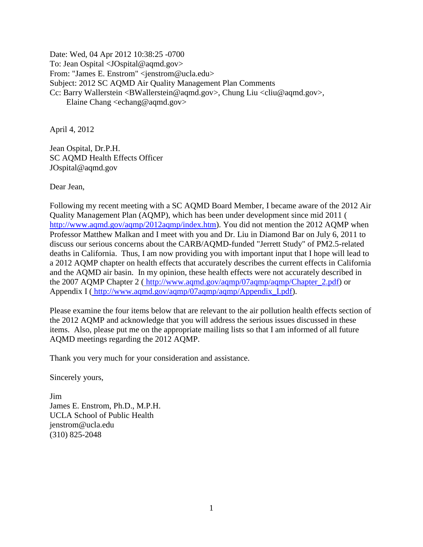Date: Wed, 04 Apr 2012 10:38:25 -0700 To: Jean Ospital <JOspital@aqmd.gov> From: "James E. Enstrom" <jenstrom@ucla.edu> Subject: 2012 SC AQMD Air Quality Management Plan Comments Cc: Barry Wallerstein <BWallerstein@aqmd.gov>, Chung Liu <cliu@aqmd.gov>, Elaine Chang <echang@aqmd.gov>

April 4, 2012

Jean Ospital, Dr.P.H. SC AQMD Health Effects Officer JOspital@aqmd.gov

Dear Jean,

Following my recent meeting with a SC AQMD Board Member, I became aware of the 2012 Air Quality Management Plan (AQMP), which has been under development since mid 2011 [\(](http://www.aqmd.gov/aqmp/2012aqmp/index.htm) [http://www.aqmd.gov/aqmp/2012aqmp/index.htm\)](http://www.aqmd.gov/aqmp/2012aqmp/index.htm). You did not mention the 2012 AQMP when Professor Matthew Malkan and I meet with you and Dr. Liu in Diamond Bar on July 6, 2011 to discuss our serious concerns about the CARB/AQMD-funded "Jerrett Study" of PM2.5-related deaths in California. Thus, I am now providing you with important input that I hope will lead to a 2012 AQMP chapter on health effects that accurately describes the current effects in California and the AQMD air basin. In my opinion, these health effects were not accurately described in the 2007 AQMP Chapter 2 ( [http://www.aqmd.gov/aqmp/07aqmp/aqmp/Chapter\\_2.pdf\)](http://www.aqmd.gov/aqmp/07aqmp/aqmp/Chapter_2.pdf) or Appendix I ([http://www.aqmd.gov/aqmp/07aqmp/aqmp/Appendix\\_I.pdf\)](http://www.aqmd.gov/aqmp/07aqmp/aqmp/Appendix_I.pdf).

Please examine the four items below that are relevant to the air pollution health effects section of the 2012 AQMP and acknowledge that you will address the serious issues discussed in these items. Also, please put me on the appropriate mailing lists so that I am informed of all future AQMD meetings regarding the 2012 AQMP.

Thank you very much for your consideration and assistance.

Sincerely yours,

Jim James E. Enstrom, Ph.D., M.P.H. UCLA School of Public Health jenstrom@ucla.edu (310) 825-2048